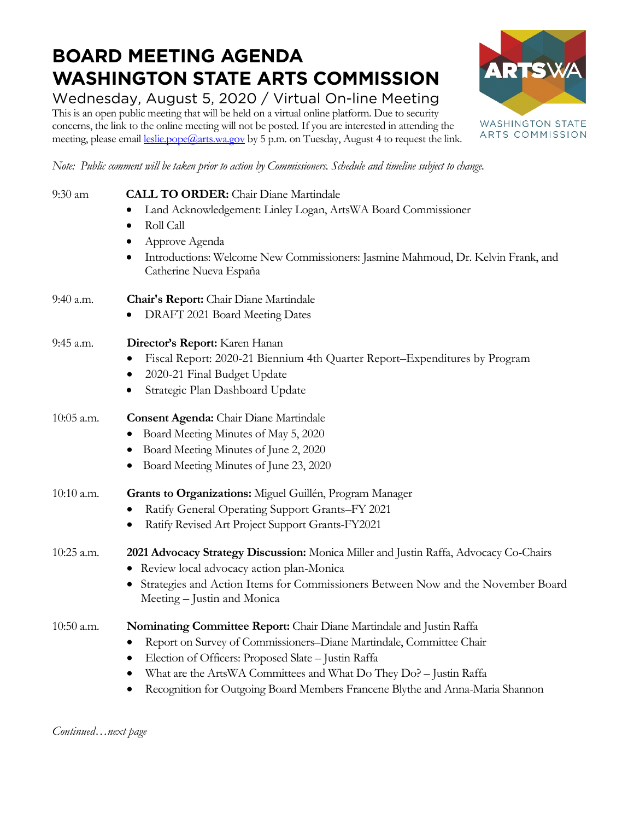## **BOARD MEETING AGENDA WASHINGTON STATE ARTS COMMISSION**

Wednesday, August 5, 2020 / Virtual On-line Meeting This is an open public meeting that will be held on a virtual online platform. Due to security concerns, the link to the online meeting will not be posted. If you are interested in attending the meeting, please email [leslie.pope@arts.wa.gov](mailto:leslie.pope@arts.wa.gov) by 5 p.m. on Tuesday, August 4 to request the link.



*Note: Public comment will be taken prior to action by Commissioners. Schedule and timeline subject to change.*

| 9:30 am    | <b>CALL TO ORDER:</b> Chair Diane Martindale                                                                                                                                                                                                                                                                                                                                      |
|------------|-----------------------------------------------------------------------------------------------------------------------------------------------------------------------------------------------------------------------------------------------------------------------------------------------------------------------------------------------------------------------------------|
|            | Land Acknowledgement: Linley Logan, ArtsWA Board Commissioner                                                                                                                                                                                                                                                                                                                     |
|            | Roll Call                                                                                                                                                                                                                                                                                                                                                                         |
|            | Approve Agenda<br>$\bullet$                                                                                                                                                                                                                                                                                                                                                       |
|            | Introductions: Welcome New Commissioners: Jasmine Mahmoud, Dr. Kelvin Frank, and                                                                                                                                                                                                                                                                                                  |
|            | Catherine Nueva España                                                                                                                                                                                                                                                                                                                                                            |
| 9:40 a.m.  | Chair's Report: Chair Diane Martindale                                                                                                                                                                                                                                                                                                                                            |
|            | DRAFT 2021 Board Meeting Dates                                                                                                                                                                                                                                                                                                                                                    |
| 9:45 a.m.  | Director's Report: Karen Hanan                                                                                                                                                                                                                                                                                                                                                    |
|            | Fiscal Report: 2020-21 Biennium 4th Quarter Report-Expenditures by Program                                                                                                                                                                                                                                                                                                        |
|            | 2020-21 Final Budget Update                                                                                                                                                                                                                                                                                                                                                       |
|            | Strategic Plan Dashboard Update                                                                                                                                                                                                                                                                                                                                                   |
| 10:05 a.m. | <b>Consent Agenda:</b> Chair Diane Martindale                                                                                                                                                                                                                                                                                                                                     |
|            | Board Meeting Minutes of May 5, 2020                                                                                                                                                                                                                                                                                                                                              |
|            | Board Meeting Minutes of June 2, 2020                                                                                                                                                                                                                                                                                                                                             |
|            | Board Meeting Minutes of June 23, 2020<br>$\bullet$                                                                                                                                                                                                                                                                                                                               |
| 10:10 a.m. | Grants to Organizations: Miguel Guillén, Program Manager                                                                                                                                                                                                                                                                                                                          |
|            | Ratify General Operating Support Grants-FY 2021                                                                                                                                                                                                                                                                                                                                   |
|            | Ratify Revised Art Project Support Grants-FY2021                                                                                                                                                                                                                                                                                                                                  |
| 10:25 a.m. | 2021 Advocacy Strategy Discussion: Monica Miller and Justin Raffa, Advocacy Co-Chairs                                                                                                                                                                                                                                                                                             |
|            | · Review local advocacy action plan-Monica                                                                                                                                                                                                                                                                                                                                        |
|            | Strategies and Action Items for Commissioners Between Now and the November Board<br>Meeting – Justin and Monica                                                                                                                                                                                                                                                                   |
| 10:50 a.m. | Nominating Committee Report: Chair Diane Martindale and Justin Raffa                                                                                                                                                                                                                                                                                                              |
|            | Report on Survey of Commissioners-Diane Martindale, Committee Chair                                                                                                                                                                                                                                                                                                               |
|            | Election of Officers: Proposed Slate - Justin Raffa<br>$\bullet$                                                                                                                                                                                                                                                                                                                  |
|            | What are the ArtsWA Committees and What Do They Do? - Justin Raffa<br>$\bullet$                                                                                                                                                                                                                                                                                                   |
|            | $\bigcap$ $\bigcap$ $\bigcap$ $\bigcap$ $\bigcap$ $\bigcap$ $\bigcap$ $\bigcap$ $\bigcap$ $\bigcap$ $\bigcap$ $\bigcap$ $\bigcap$ $\bigcap$ $\bigcap$ $\bigcap$ $\bigcap$ $\bigcap$ $\bigcap$ $\bigcap$ $\bigcap$ $\bigcap$ $\bigcap$ $\bigcap$ $\bigcap$ $\bigcap$ $\bigcap$ $\bigcap$ $\bigcap$ $\bigcap$ $\bigcap$ $\bigcap$ $\bigcap$ $\bigcap$ $\bigcap$ $\bigcap$ $\bigcap$ |

• Recognition for Outgoing Board Members Francene Blythe and Anna-Maria Shannon

*Continued…next page*